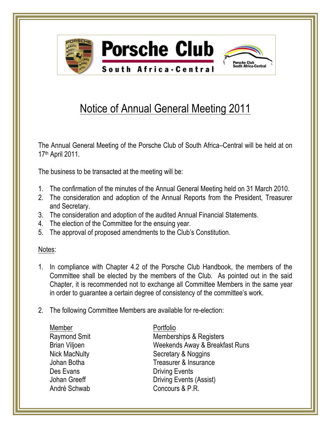

## Notice of Annual General Meeting 2011

The Annual General Meeting of the Porsche Club of South Africa–Central will be held at on 17th April 2011.

The business to be transacted at the meeting will be:

- 1. The confirmation of the minutes of the Annual General Meeting held on 31 March 2010.
- 2. The consideration and adoption of the Annual Reports from the President, Treasurer and Secretary.
- 3. The consideration and adoption of the audited Annual Financial Statements.
- 4. The election of the Committee for the ensuing year.
- 5. The approval of proposed amendments to the Club's Constitution.

## Notes:

- 1. In compliance with Chapter 4.2 of the Porsche Club Handbook, the members of the Committee shall be elected by the members of the Club. As pointed out in the said Chapter, it is recommended not to exchange all Committee Members in the same year in order to guarantee a certain degree of consistency of the committee's work.
- 2. The following Committee Members are available for re-election:

| Portfolio                      |
|--------------------------------|
| Memberships & Registers        |
| Weekends Away & Breakfast Runs |
| Secretary & Noggins            |
| Treasurer & Insurance          |
| <b>Driving Events</b>          |
| <b>Driving Events (Assist)</b> |
| Concours & P.R.                |
|                                |